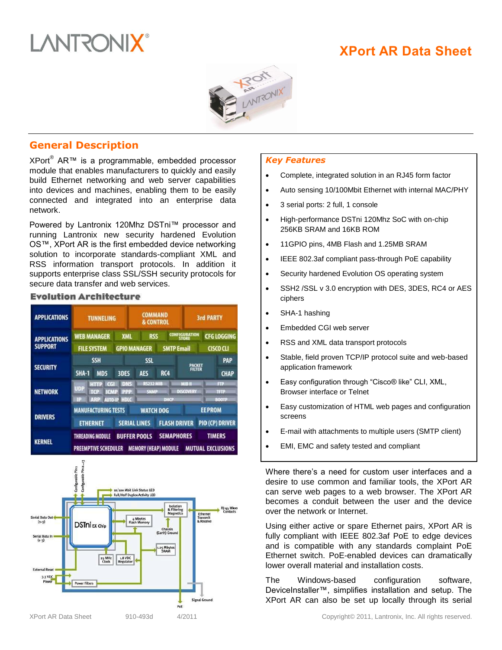

# **XPort AR Data Sheet**



# **General Description**

XPort<sup>®</sup> AR<sup>™</sup> is a programmable, embedded processor module that enables manufacturers to quickly and easily build Ethernet networking and web server capabilities into devices and machines, enabling them to be easily connected and integrated into an enterprise data network.

Powered by Lantronix 120Mhz DSTni™ processor and running Lantronix new security hardened Evolution OS™, XPort AR is the first embedded device networking solution to incorporate standards-compliant XML and RSS information transport protocols. In addition it supports enterprise class SSL/SSH security protocols for secure data transfer and web services.

#### **Evolution Architecture**

| <b>APPLICATIONS</b>                   | <b>TUNNELING</b>                                                                                            | <b>COMMAND</b><br>& CONTROL                     |                                                |                                                           | <b>3rd PARTY</b>                  |                                           |  |
|---------------------------------------|-------------------------------------------------------------------------------------------------------------|-------------------------------------------------|------------------------------------------------|-----------------------------------------------------------|-----------------------------------|-------------------------------------------|--|
| <b>APPLICATIONS</b><br><b>SUPPORT</b> | <b>WEB MANAGER</b><br><b>FILE SYSTEM</b>                                                                    | <b>XML</b><br><b>RSS</b><br><b>GPIO MANAGER</b> |                                                | <b>CONFIGURATION</b><br><b>STORE</b><br><b>SMTP Email</b> |                                   | <b>CFG LOGGING</b><br>CISCO CLI           |  |
| <b>SECURITY</b>                       | <b>SSH</b><br><b>SHA-1</b><br>MD5                                                                           | <b>3DES</b>                                     | <b>SSL</b><br><b>AES</b><br>RC4                |                                                           | <b>PACKET</b><br>FILTER           | <b>PAP</b><br><b>CHAP</b>                 |  |
| <b>NETWORK</b>                        | DNS<br>100012<br>$\alpha$<br><b>UDP</b><br><b>PPP</b><br>TCE<br>II CIME<br><b>AUTO-IP HDLC</b><br>ПB<br>ARP |                                                 | <b>RS232 MIR</b><br><b>SNMP</b><br><b>DHCP</b> |                                                           | <b>MIR II</b><br><b>DISCOVERY</b> | <b>FTP</b><br>TELE<br><b>BOOTP</b>        |  |
| <b>DRIVERS</b>                        | <b>MANUFACTURING TESTS</b><br><b>ETHERNET</b>                                                               | <b>SERIAL LINES</b>                             | <b>WATCH DOG</b><br><b>FLASH DRIVER</b>        |                                                           |                                   | <b>EEPROM</b><br><b>PIO (CP) DRIVER</b>   |  |
| <b>KERNEL</b>                         | THREADING MODULE<br><b>PREEMPTIVE SCHEDULER</b>                                                             | <b>BUFFER POOLS</b>                             |                                                | <b>SEMAPHORES</b><br><b>MEMORY (HEAP) MODULE</b>          |                                   | <b>TIMERS</b><br><b>MUTUAL EXCLUSIONS</b> |  |



# *Key Features*

- Complete, integrated solution in an RJ45 form factor
- Auto sensing 10/100Mbit Ethernet with internal MAC/PHY
- 3 serial ports: 2 full, 1 console
- High-performance DSTni 120Mhz SoC with on-chip 256KB SRAM and 16KB ROM
- 11GPIO pins, 4MB Flash and 1.25MB SRAM
- IEEE 802.3af compliant pass-through PoE capability
- Security hardened Evolution OS operating system
- SSH2 /SSL v 3.0 encryption with DES, 3DES, RC4 or AES ciphers
- SHA-1 hashing
- Embedded CGI web server
- RSS and XML data transport protocols
- Stable, field proven TCP/IP protocol suite and web-based application framework
- Easy configuration through "Cisco® like" CLI, XML, Browser interface or Telnet
- Easy customization of HTML web pages and configuration screens
- E-mail with attachments to multiple users (SMTP client)
- EMI, EMC and safety tested and compliant

Where there's a need for custom user interfaces and a desire to use common and familiar tools, the XPort AR can serve web pages to a web browser. The XPort AR becomes a conduit between the user and the device over the network or Internet.

Using either active or spare Ethernet pairs, XPort AR is fully compliant with IEEE 802.3af PoE to edge devices and is compatible with any standards complaint PoE Ethernet switch. PoE-enabled devices can dramatically lower overall material and installation costs.

The Windows-based configuration software, DeviceInstaller™, simplifies installation and setup. The XPort AR can also be set up locally through its serial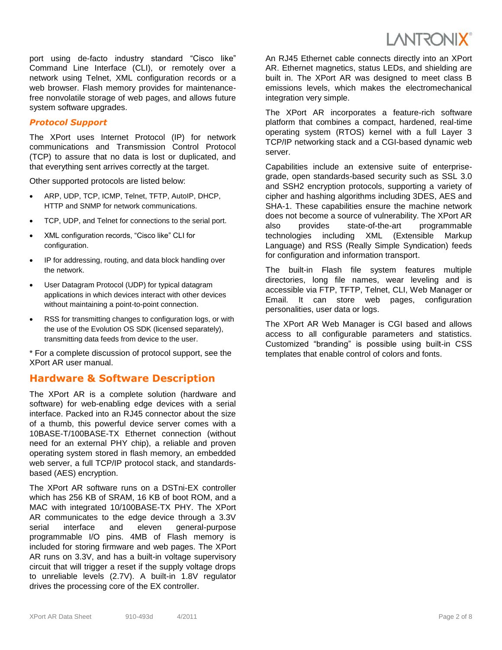

port using de-facto industry standard "Cisco like" Command Line Interface (CLI), or remotely over a network using Telnet, XML configuration records or a web browser. Flash memory provides for maintenancefree nonvolatile storage of web pages, and allows future system software upgrades.

### *Protocol Support*

The XPort uses Internet Protocol (IP) for network communications and Transmission Control Protocol (TCP) to assure that no data is lost or duplicated, and that everything sent arrives correctly at the target.

Other supported protocols are listed below:

- ARP, UDP, TCP, ICMP, Telnet, TFTP, AutoIP, DHCP, HTTP and SNMP for network communications.
- TCP, UDP, and Telnet for connections to the serial port.
- XML configuration records, "Cisco like" CLI for configuration.
- IP for addressing, routing, and data block handling over the network.
- User Datagram Protocol (UDP) for typical datagram applications in which devices interact with other devices without maintaining a point-to-point connection.
- RSS for transmitting changes to configuration logs, or with the use of the Evolution OS SDK (licensed separately), transmitting data feeds from device to the user.

\* For a complete discussion of protocol support, see the XPort AR user manual.

# **Hardware & Software Description**

The XPort AR is a complete solution (hardware and software) for web-enabling edge devices with a serial interface. Packed into an RJ45 connector about the size of a thumb, this powerful device server comes with a 10BASE-T/100BASE-TX Ethernet connection (without need for an external PHY chip), a reliable and proven operating system stored in flash memory, an embedded web server, a full TCP/IP protocol stack, and standardsbased (AES) encryption.

The XPort AR software runs on a DSTni-EX controller which has 256 KB of SRAM, 16 KB of boot ROM, and a MAC with integrated 10/100BASE-TX PHY. The XPort AR communicates to the edge device through a 3.3V serial interface and eleven general-purpose programmable I/O pins. 4MB of Flash memory is included for storing firmware and web pages. The XPort AR runs on 3.3V, and has a built-in voltage supervisory circuit that will trigger a reset if the supply voltage drops to unreliable levels (2.7V). A built-in 1.8V regulator drives the processing core of the EX controller.

An RJ45 Ethernet cable connects directly into an XPort AR. Ethernet magnetics, status LEDs, and shielding are built in. The XPort AR was designed to meet class B emissions levels, which makes the electromechanical integration very simple.

The XPort AR incorporates a feature-rich software platform that combines a compact, hardened, real-time operating system (RTOS) kernel with a full Layer 3 TCP/IP networking stack and a CGI-based dynamic web server.

Capabilities include an extensive suite of enterprisegrade, open standards-based security such as SSL 3.0 and SSH2 encryption protocols, supporting a variety of cipher and hashing algorithms including 3DES, AES and SHA-1. These capabilities ensure the machine network does not become a source of vulnerability. The XPort AR also provides state-of-the-art programmable technologies including XML (Extensible Markup Language) and RSS (Really Simple Syndication) feeds for configuration and information transport.

The built-in Flash file system features multiple directories, long file names, wear leveling and is accessible via FTP, TFTP, Telnet, CLI, Web Manager or Email. It can store web pages, configuration personalities, user data or logs.

The XPort AR Web Manager is CGI based and allows access to all configurable parameters and statistics. Customized "branding" is possible using built-in CSS templates that enable control of colors and fonts.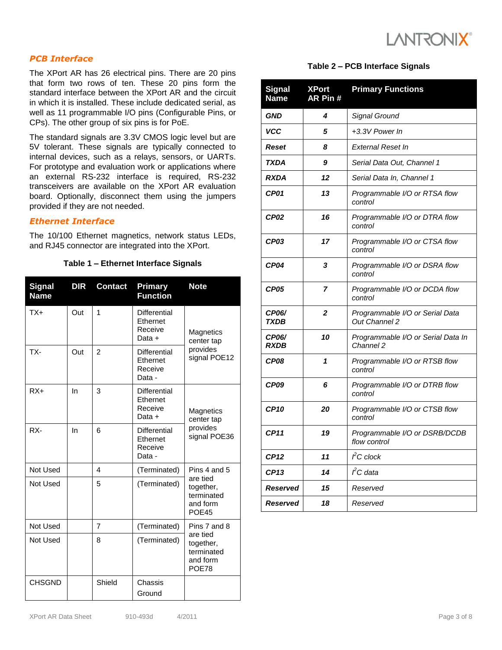

# *PCB Interface*

The XPort AR has 26 electrical pins. There are 20 pins that form two rows of ten. These 20 pins form the standard interface between the XPort AR and the circuit in which it is installed. These include dedicated serial, as well as 11 programmable I/O pins (Configurable Pins, or CPs). The other group of six pins is for PoE.

The standard signals are 3.3V CMOS logic level but are 5V tolerant. These signals are typically connected to internal devices, such as a relays, sensors, or UARTs. For prototype and evaluation work or applications where an external RS-232 interface is required, RS-232 transceivers are available on the XPort AR evaluation board. Optionally, disconnect them using the jumpers provided if they are not needed.

# *Ethernet Interface*

The 10/100 Ethernet magnetics, network status LEDs, and RJ45 connector are integrated into the XPort.

#### **Table 1 – Ethernet Interface Signals**

| <b>Signal</b><br><b>Name</b> | <b>DIR</b> | <b>Contact</b> | <b>Primary</b><br><b>Function</b>             | <b>Note</b>                                                                     |  |
|------------------------------|------------|----------------|-----------------------------------------------|---------------------------------------------------------------------------------|--|
| $TX+$                        | Out        | 1              | Differential<br>Ethernet<br>Receive<br>Data + | Magnetics<br>center tap<br>provides<br>signal POE12                             |  |
| TX-                          | Out        | $\overline{2}$ | Differential<br>Ethernet<br>Receive<br>Data - |                                                                                 |  |
| $RX+$                        | In         | 3              | Differential<br>Ethernet<br>Receive<br>Data + | Magnetics<br>center tap<br>provides<br>signal POE36                             |  |
| RX-                          | In         | 6              | Differential<br>Ethernet<br>Receive<br>Data - |                                                                                 |  |
| Not Used                     |            | 4              | (Terminated)                                  | Pins 4 and 5<br>are tied<br>together,<br>terminated<br>and form<br><b>POE45</b> |  |
| Not Used                     |            | 5              | (Terminated)                                  |                                                                                 |  |
| Not Used                     |            | $\overline{7}$ | (Terminated)                                  | Pins 7 and 8                                                                    |  |
| Not Used                     |            | 8              | (Terminated)                                  | are tied<br>together,<br>terminated<br>and form<br>POE78                        |  |
| <b>CHSGND</b>                |            | Shield         | Chassis                                       |                                                                                 |  |
|                              |            |                | Ground                                        |                                                                                 |  |

#### **Table 2 – PCB Interface Signals**

| <b>Signal</b><br><b>Name</b> | <b>XPort</b><br>AR Pin # | <b>Primary Functions</b>                                |
|------------------------------|--------------------------|---------------------------------------------------------|
| <b>GND</b>                   | 4                        | Signal Ground                                           |
| <b>VCC</b>                   | 5                        | +3.3V Power In                                          |
| Reset                        | 8                        | <b>External Reset In</b>                                |
| <b>TXDA</b>                  | 9                        | Serial Data Out, Channel 1                              |
| <b>RXDA</b>                  | 12                       | Serial Data In, Channel 1                               |
| CP01                         | 13                       | Programmable I/O or RTSA flow<br>control                |
| CP <sub>02</sub>             | 16                       | Programmable I/O or DTRA flow<br>control                |
| CP03                         | 17                       | Programmable I/O or CTSA flow<br>control                |
| CP04                         | 3                        | Programmable I/O or DSRA flow<br>control                |
| CP05                         | 7                        | Programmable I/O or DCDA flow<br>control                |
| <b>CP06/</b><br><b>TXDB</b>  | $\mathbf{2}$             | Programmable I/O or Serial Data<br><b>Out Channel 2</b> |
| <b>CP06/</b><br><b>RXDB</b>  | 10                       | Programmable I/O or Serial Data In<br>Channel 2         |
| CP08                         | 1                        | Programmable I/O or RTSB flow<br>control                |
| CP09                         | 6                        | Programmable I/O or DTRB flow<br>control                |
| <b>CP10</b>                  | 20                       | Programmable I/O or CTSB flow<br>control                |
| <b>CP11</b>                  | 19                       | Programmable I/O or DSRB/DCDB<br>flow control           |
| <b>CP12</b>                  | 11                       | $\hat{f}$ C clock                                       |
| <b>CP13</b>                  | 14                       | $\mathit{f}$ C data                                     |
| <b>Reserved</b>              | 15                       | Reserved                                                |
| Reserved                     | 18                       | Reserved                                                |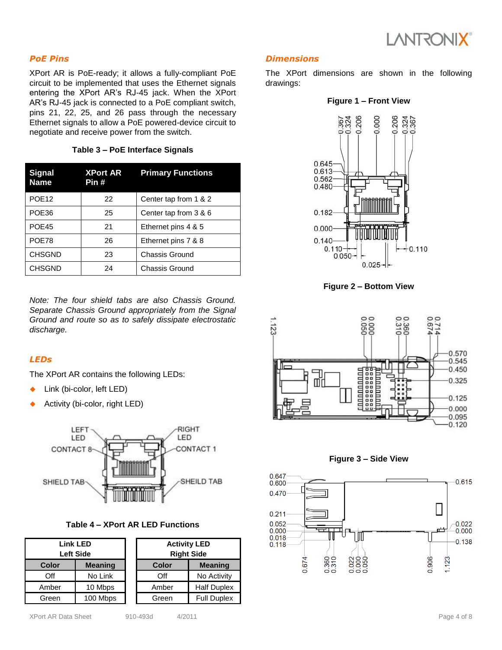

# *PoE Pins*

XPort AR is PoE-ready; it allows a fully-compliant PoE circuit to be implemented that uses the Ethernet signals entering the XPort AR's RJ-45 jack. When the XPort AR's RJ-45 jack is connected to a PoE compliant switch, pins 21, 22, 25, and 26 pass through the necessary Ethernet signals to allow a PoE powered-device circuit to negotiate and receive power from the switch.

**Table 3 – PoE Interface Signals**

| <b>Signal</b><br><b>Name</b> | <b>XPort AR</b><br>Pin # | <b>Primary Functions</b> |
|------------------------------|--------------------------|--------------------------|
| POE <sub>12</sub>            | 22                       | Center tap from 1 & 2    |
| POE36                        | 25                       | Center tap from 3 & 6    |
| POE45                        | 21                       | Ethernet pins 4 & 5      |
| POE78                        | 26                       | Ethernet pins 7 & 8      |
| <b>CHSGND</b>                | 23                       | Chassis Ground           |
| <b>CHSGND</b>                | 24                       | <b>Chassis Ground</b>    |

*Note: The four shield tabs are also Chassis Ground. Separate Chassis Ground appropriately from the Signal Ground and route so as to safely dissipate electrostatic discharge.*

# *LEDs*

The XPort AR contains the following LEDs:

- Link (bi-color, left LED)
- Activity (bi-color, right LED)



#### **Table 4 – XPort AR LED Functions**

| <b>Link LED</b><br><b>Left Side</b> |                |  |       | <b>Activity LED</b><br><b>Right Side</b> |
|-------------------------------------|----------------|--|-------|------------------------------------------|
| <b>Color</b>                        | <b>Meaning</b> |  | Color | <b>Meaning</b>                           |
| Off                                 | No Link        |  | Off   | No Activity                              |
| Amber                               | 10 Mbps        |  | Amber | <b>Half Duplex</b>                       |
| Green                               | 100 Mbps       |  | Green | <b>Full Duplex</b>                       |

# *Dimensions*

The XPort dimensions are shown in the following drawings:





**Figure 2 – Bottom View**





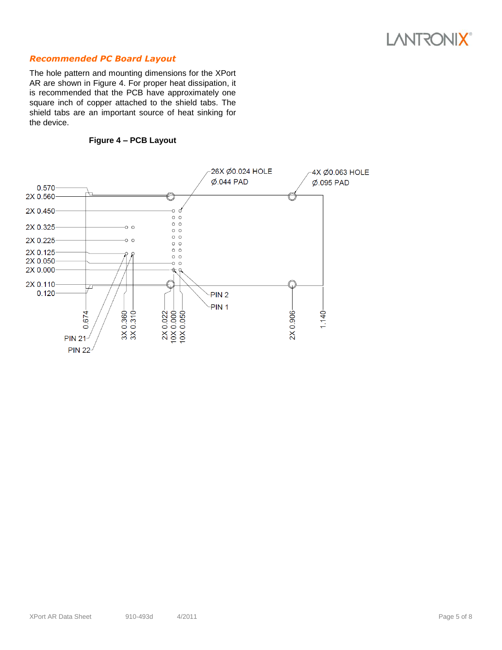# **LANTRONIX®**

# *Recommended PC Board Layout*

The hole pattern and mounting dimensions for the XPort AR are shown in Figure 4. For proper heat dissipation, it is recommended that the PCB have approximately one square inch of copper attached to the shield tabs. The shield tabs are an important source of heat sinking for the device.



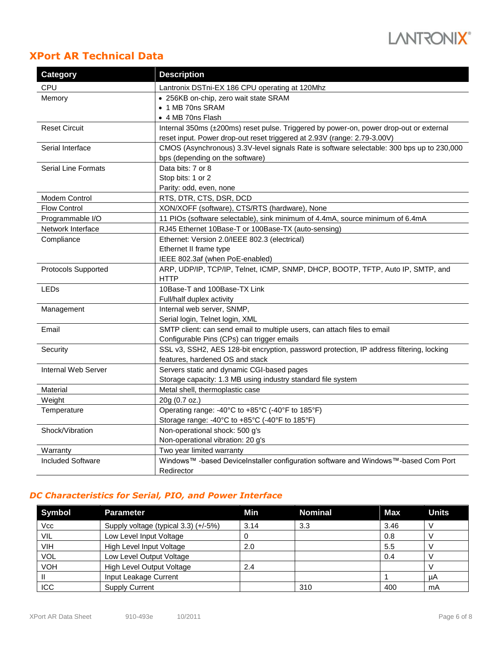

# **XPort AR Technical Data**

| <b>Category</b>            | <b>Description</b>                                                                        |  |
|----------------------------|-------------------------------------------------------------------------------------------|--|
| CPU                        | Lantronix DSTni-EX 186 CPU operating at 120Mhz                                            |  |
| Memory                     | • 256KB on-chip, zero wait state SRAM                                                     |  |
|                            | • 1 MB 70ns SRAM                                                                          |  |
|                            | • 4 MB 70ns Flash                                                                         |  |
| <b>Reset Circuit</b>       | Internal 350ms (±200ms) reset pulse. Triggered by power-on, power drop-out or external    |  |
|                            | reset input. Power drop-out reset triggered at 2.93V (range: 2.79-3.00V)                  |  |
| Serial Interface           | CMOS (Asynchronous) 3.3V-level signals Rate is software selectable: 300 bps up to 230,000 |  |
|                            | bps (depending on the software)                                                           |  |
| <b>Serial Line Formats</b> | Data bits: 7 or 8                                                                         |  |
|                            | Stop bits: 1 or 2                                                                         |  |
|                            | Parity: odd, even, none                                                                   |  |
| Modem Control              | RTS, DTR, CTS, DSR, DCD                                                                   |  |
| <b>Flow Control</b>        | XON/XOFF (software), CTS/RTS (hardware), None                                             |  |
| Programmable I/O           | 11 PIOs (software selectable), sink minimum of 4.4mA, source minimum of 6.4mA             |  |
| Network Interface          | RJ45 Ethernet 10Base-T or 100Base-TX (auto-sensing)                                       |  |
| Compliance                 | Ethernet: Version 2.0/IEEE 802.3 (electrical)                                             |  |
|                            | Ethernet II frame type                                                                    |  |
|                            | IEEE 802.3af (when PoE-enabled)                                                           |  |
| Protocols Supported        | ARP, UDP/IP, TCP/IP, Telnet, ICMP, SNMP, DHCP, BOOTP, TFTP, Auto IP, SMTP, and            |  |
|                            | <b>HTTP</b>                                                                               |  |
| <b>LEDs</b>                | 10Base-T and 100Base-TX Link                                                              |  |
|                            | Full/half duplex activity                                                                 |  |
| Management                 | Internal web server, SNMP,                                                                |  |
|                            | Serial login, Telnet login, XML                                                           |  |
| Email                      | SMTP client: can send email to multiple users, can attach files to email                  |  |
|                            | Configurable Pins (CPs) can trigger emails                                                |  |
| Security                   | SSL v3, SSH2, AES 128-bit encryption, password protection, IP address filtering, locking  |  |
|                            | features, hardened OS and stack                                                           |  |
| Internal Web Server        | Servers static and dynamic CGI-based pages                                                |  |
|                            | Storage capacity: 1.3 MB using industry standard file system                              |  |
| Material                   | Metal shell, thermoplastic case                                                           |  |
| Weight                     | 20g (0.7 oz.)                                                                             |  |
| Temperature                | Operating range: -40°C to +85°C (-40°F to 185°F)                                          |  |
|                            | Storage range: -40°C to +85°C (-40°F to 185°F)                                            |  |
| Shock/Vibration            | Non-operational shock: 500 g's                                                            |  |
|                            | Non-operational vibration: 20 g's                                                         |  |
| Warranty                   | Two year limited warranty                                                                 |  |
| <b>Included Software</b>   | Windows™ -based DeviceInstaller configuration software and Windows™-based Com Port        |  |
|                            | Redirector                                                                                |  |

# *DC Characteristics for Serial, PIO, and Power Interface*

| <b>Symbol</b> | Parameter                            | Min  | <b>Nominal</b> | Max  | <b>Units</b> |
|---------------|--------------------------------------|------|----------------|------|--------------|
| Vcc           | Supply voltage (typical 3.3) (+/-5%) | 3.14 | 3.3            | 3.46 | ν            |
| VIL           | Low Level Input Voltage              |      |                | 0.8  |              |
| VIH           | High Level Input Voltage             | 2.0  |                | 5.5  |              |
| <b>VOL</b>    | Low Level Output Voltage             |      |                | 0.4  |              |
| <b>VOH</b>    | High Level Output Voltage            | 2.4  |                |      |              |
|               | Input Leakage Current                |      |                |      | uA           |
| <b>ICC</b>    | <b>Supply Current</b>                |      | 310            | 400  | mA           |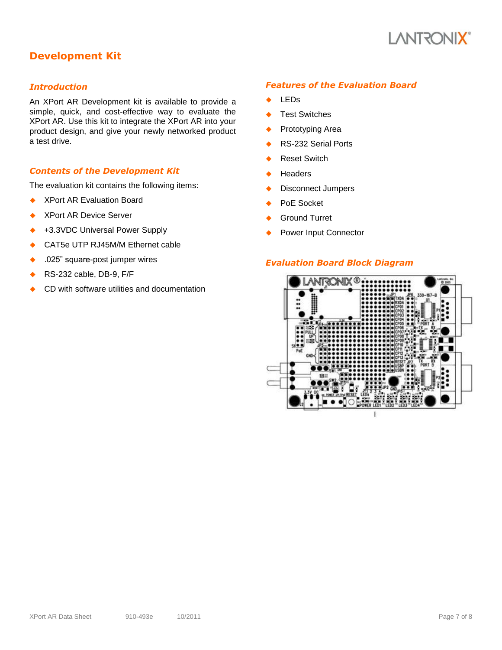

# **Development Kit**

## *Introduction*

An XPort AR Development kit is available to provide a simple, quick, and cost-effective way to evaluate the XPort AR. Use this kit to integrate the XPort AR into your product design, and give your newly networked product a test drive.

# *Contents of the Development Kit*

The evaluation kit contains the following items:

- ◆ XPort AR Evaluation Board
- XPort AR Device Server
- +3.3VDC Universal Power Supply
- CAT5e UTP RJ45M/M Ethernet cable
- .025" square-post jumper wires
- RS-232 cable, DB-9, F/F
- CD with software utilities and documentation

#### *Features of the Evaluation Board*

- ← LEDs
- Test Switches
- ◆ Prototyping Area
- ◆ RS-232 Serial Ports
- ◆ Reset Switch
- **Headers**
- ◆ Disconnect Jumpers
- ◆ PoE Socket
- Ground Turret
- Power Input Connector

## *Evaluation Board Block Diagram*